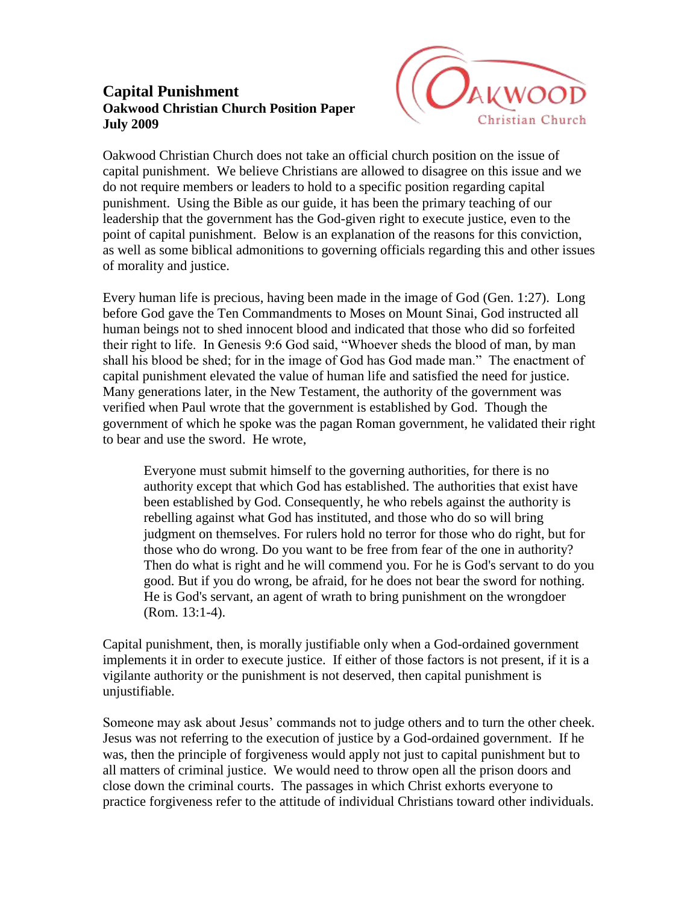## **Capital Punishment Oakwood Christian Church Position Paper July 2009**



Oakwood Christian Church does not take an official church position on the issue of capital punishment. We believe Christians are allowed to disagree on this issue and we do not require members or leaders to hold to a specific position regarding capital punishment. Using the Bible as our guide, it has been the primary teaching of our leadership that the government has the God-given right to execute justice, even to the point of capital punishment. Below is an explanation of the reasons for this conviction, as well as some biblical admonitions to governing officials regarding this and other issues of morality and justice.

Every human life is precious, having been made in the image of God (Gen. 1:27). Long before God gave the Ten Commandments to Moses on Mount Sinai, God instructed all human beings not to shed innocent blood and indicated that those who did so forfeited their right to life. In Genesis 9:6 God said, "Whoever sheds the blood of man, by man shall his blood be shed; for in the image of God has God made man." The enactment of capital punishment elevated the value of human life and satisfied the need for justice. Many generations later, in the New Testament, the authority of the government was verified when Paul wrote that the government is established by God. Though the government of which he spoke was the pagan Roman government, he validated their right to bear and use the sword. He wrote,

Everyone must submit himself to the governing authorities, for there is no authority except that which God has established. The authorities that exist have been established by God. Consequently, he who rebels against the authority is rebelling against what God has instituted, and those who do so will bring judgment on themselves. For rulers hold no terror for those who do right, but for those who do wrong. Do you want to be free from fear of the one in authority? Then do what is right and he will commend you. For he is God's servant to do you good. But if you do wrong, be afraid, for he does not bear the sword for nothing. He is God's servant, an agent of wrath to bring punishment on the wrongdoer (Rom. 13:1-4).

Capital punishment, then, is morally justifiable only when a God-ordained government implements it in order to execute justice. If either of those factors is not present, if it is a vigilante authority or the punishment is not deserved, then capital punishment is unjustifiable.

Someone may ask about Jesus' commands not to judge others and to turn the other cheek. Jesus was not referring to the execution of justice by a God-ordained government. If he was, then the principle of forgiveness would apply not just to capital punishment but to all matters of criminal justice. We would need to throw open all the prison doors and close down the criminal courts. The passages in which Christ exhorts everyone to practice forgiveness refer to the attitude of individual Christians toward other individuals.